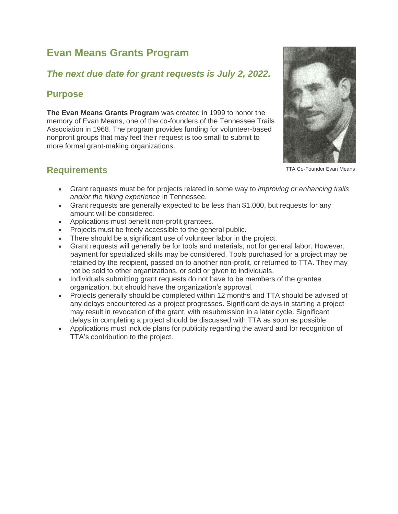# **Evan Means Grants Program**

## *The next due date for grant requests is July 2, 2022.*

## **Purpose**

**The Evan Means Grants Program** was created in 1999 to honor the memory of Evan Means, one of the co-founders of the Tennessee Trails Association in 1968. The program provides funding for volunteer-based nonprofit groups that may feel their request is too small to submit to more formal grant-making organizations.



TTA Co-Founder Evan Means

## **Requirements**

- Grant requests must be for projects related in some way to *improving or enhancing trails and/or the hiking experience* in Tennessee.
- Grant requests are generally expected to be less than \$1,000, but requests for any amount will be considered.
- Applications must benefit non-profit grantees.
- Projects must be freely accessible to the general public.
- There should be a significant use of volunteer labor in the project.
- Grant requests will generally be for tools and materials, not for general labor. However, payment for specialized skills may be considered. Tools purchased for a project may be retained by the recipient, passed on to another non-profit, or returned to TTA. They may not be sold to other organizations, or sold or given to individuals.
- Individuals submitting grant requests do not have to be members of the grantee organization, but should have the organization's approval.
- Projects generally should be completed within 12 months and TTA should be advised of any delays encountered as a project progresses. Significant delays in starting a project may result in revocation of the grant, with resubmission in a later cycle. Significant delays in completing a project should be discussed with TTA as soon as possible.
- Applications must include plans for publicity regarding the award and for recognition of TTA's contribution to the project.